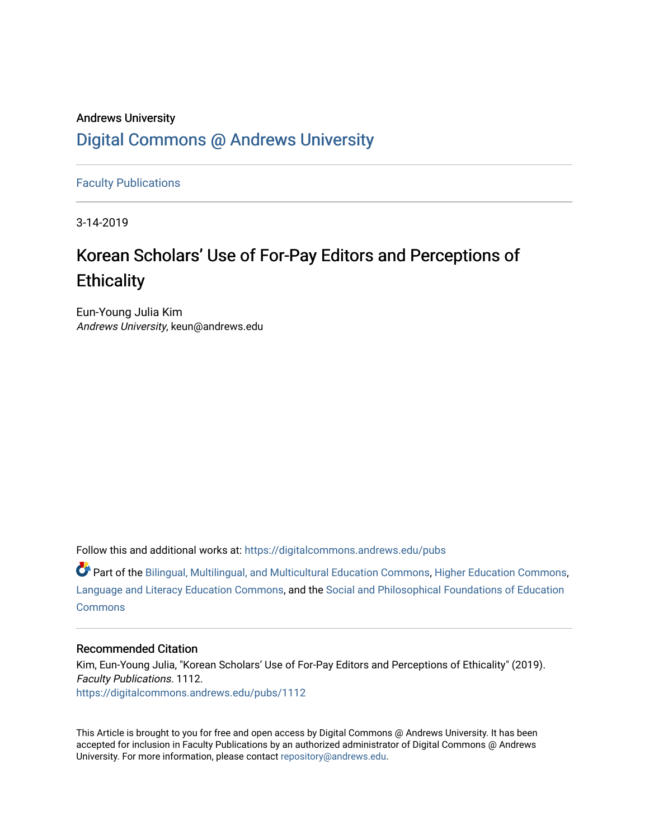# Andrews University [Digital Commons @ Andrews University](https://digitalcommons.andrews.edu/)

[Faculty Publications](https://digitalcommons.andrews.edu/pubs)

3-14-2019

# Korean Scholars' Use of For-Pay Editors and Perceptions of **Ethicality**

Eun-Young Julia Kim Andrews University, keun@andrews.edu

Follow this and additional works at: [https://digitalcommons.andrews.edu/pubs](https://digitalcommons.andrews.edu/pubs?utm_source=digitalcommons.andrews.edu%2Fpubs%2F1112&utm_medium=PDF&utm_campaign=PDFCoverPages) 

Part of the [Bilingual, Multilingual, and Multicultural Education Commons,](http://network.bepress.com/hgg/discipline/785?utm_source=digitalcommons.andrews.edu%2Fpubs%2F1112&utm_medium=PDF&utm_campaign=PDFCoverPages) [Higher Education Commons,](http://network.bepress.com/hgg/discipline/1245?utm_source=digitalcommons.andrews.edu%2Fpubs%2F1112&utm_medium=PDF&utm_campaign=PDFCoverPages) [Language and Literacy Education Commons,](http://network.bepress.com/hgg/discipline/1380?utm_source=digitalcommons.andrews.edu%2Fpubs%2F1112&utm_medium=PDF&utm_campaign=PDFCoverPages) and the [Social and Philosophical Foundations of Education](http://network.bepress.com/hgg/discipline/799?utm_source=digitalcommons.andrews.edu%2Fpubs%2F1112&utm_medium=PDF&utm_campaign=PDFCoverPages)  **[Commons](http://network.bepress.com/hgg/discipline/799?utm_source=digitalcommons.andrews.edu%2Fpubs%2F1112&utm_medium=PDF&utm_campaign=PDFCoverPages)** 

# Recommended Citation

Kim, Eun-Young Julia, "Korean Scholars' Use of For-Pay Editors and Perceptions of Ethicality" (2019). Faculty Publications. 1112. [https://digitalcommons.andrews.edu/pubs/1112](https://digitalcommons.andrews.edu/pubs/1112?utm_source=digitalcommons.andrews.edu%2Fpubs%2F1112&utm_medium=PDF&utm_campaign=PDFCoverPages) 

This Article is brought to you for free and open access by Digital Commons @ Andrews University. It has been accepted for inclusion in Faculty Publications by an authorized administrator of Digital Commons @ Andrews University. For more information, please contact [repository@andrews.edu](mailto:repository@andrews.edu).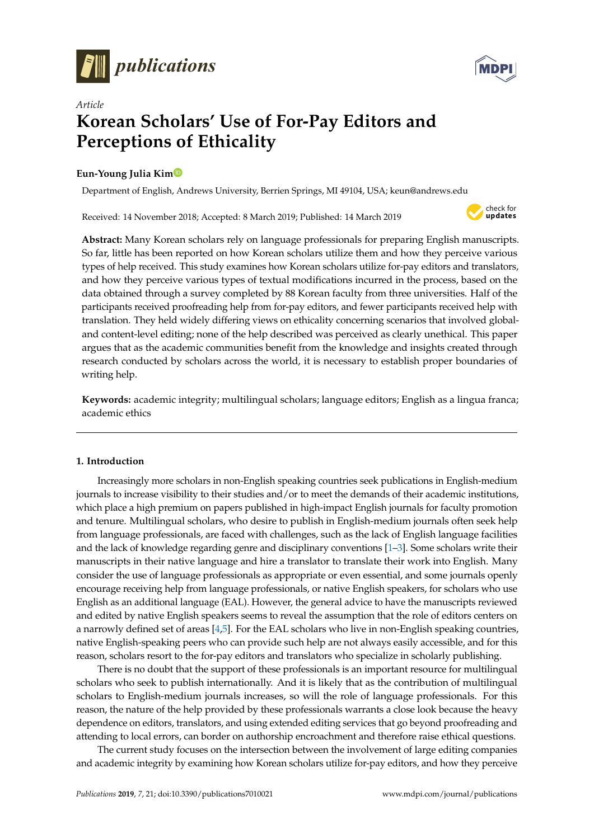



# *Article* **Korean Scholars' Use of For-Pay Editors and Perceptions of Ethicality**

## **Eun-Young Julia Ki[m](https://orcid.org/0000-0002-2527-7845)**

Department of English, Andrews University, Berrien Springs, MI 49104, USA; keun@andrews.edu

Received: 14 November 2018; Accepted: 8 March 2019; Published: 14 March 2019



**Abstract:** Many Korean scholars rely on language professionals for preparing English manuscripts. So far, little has been reported on how Korean scholars utilize them and how they perceive various types of help received. This study examines how Korean scholars utilize for-pay editors and translators, and how they perceive various types of textual modifications incurred in the process, based on the data obtained through a survey completed by 88 Korean faculty from three universities. Half of the participants received proofreading help from for-pay editors, and fewer participants received help with translation. They held widely differing views on ethicality concerning scenarios that involved globaland content-level editing; none of the help described was perceived as clearly unethical. This paper argues that as the academic communities benefit from the knowledge and insights created through research conducted by scholars across the world, it is necessary to establish proper boundaries of writing help.

**Keywords:** academic integrity; multilingual scholars; language editors; English as a lingua franca; academic ethics

# **1. Introduction**

Increasingly more scholars in non-English speaking countries seek publications in English-medium journals to increase visibility to their studies and/or to meet the demands of their academic institutions, which place a high premium on papers published in high-impact English journals for faculty promotion and tenure. Multilingual scholars, who desire to publish in English-medium journals often seek help from language professionals, are faced with challenges, such as the lack of English language facilities and the lack of knowledge regarding genre and disciplinary conventions [\[1–](#page-10-0)[3\]](#page-10-1). Some scholars write their manuscripts in their native language and hire a translator to translate their work into English. Many consider the use of language professionals as appropriate or even essential, and some journals openly encourage receiving help from language professionals, or native English speakers, for scholars who use English as an additional language (EAL). However, the general advice to have the manuscripts reviewed and edited by native English speakers seems to reveal the assumption that the role of editors centers on a narrowly defined set of areas [\[4,](#page-10-2)[5\]](#page-10-3). For the EAL scholars who live in non-English speaking countries, native English-speaking peers who can provide such help are not always easily accessible, and for this reason, scholars resort to the for-pay editors and translators who specialize in scholarly publishing.

There is no doubt that the support of these professionals is an important resource for multilingual scholars who seek to publish internationally. And it is likely that as the contribution of multilingual scholars to English-medium journals increases, so will the role of language professionals. For this reason, the nature of the help provided by these professionals warrants a close look because the heavy dependence on editors, translators, and using extended editing services that go beyond proofreading and attending to local errors, can border on authorship encroachment and therefore raise ethical questions.

The current study focuses on the intersection between the involvement of large editing companies and academic integrity by examining how Korean scholars utilize for-pay editors, and how they perceive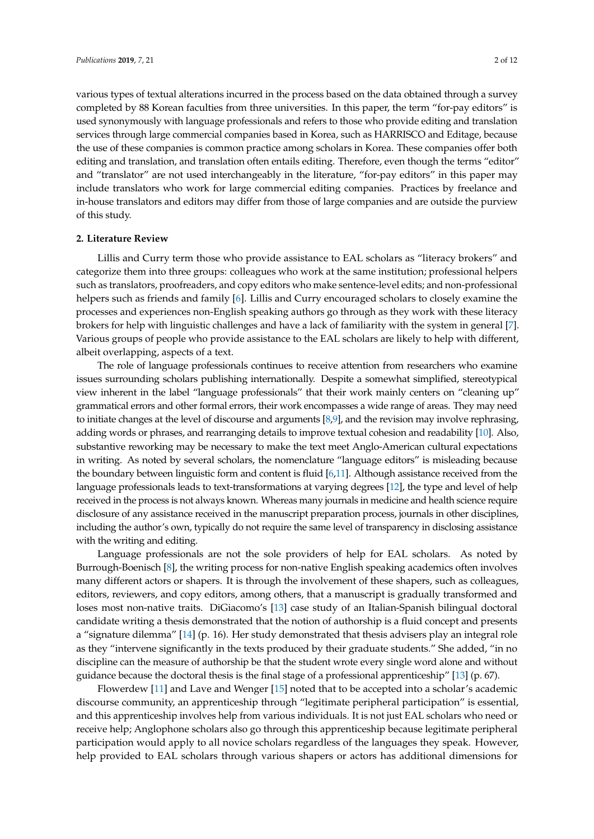various types of textual alterations incurred in the process based on the data obtained through a survey completed by 88 Korean faculties from three universities. In this paper, the term "for-pay editors" is used synonymously with language professionals and refers to those who provide editing and translation services through large commercial companies based in Korea, such as HARRISCO and Editage, because the use of these companies is common practice among scholars in Korea. These companies offer both editing and translation, and translation often entails editing. Therefore, even though the terms "editor" and "translator" are not used interchangeably in the literature, "for-pay editors" in this paper may include translators who work for large commercial editing companies. Practices by freelance and in-house translators and editors may differ from those of large companies and are outside the purview of this study.

#### **2. Literature Review**

Lillis and Curry term those who provide assistance to EAL scholars as "literacy brokers" and categorize them into three groups: colleagues who work at the same institution; professional helpers such as translators, proofreaders, and copy editors who make sentence-level edits; and non-professional helpers such as friends and family [\[6\]](#page-10-4). Lillis and Curry encouraged scholars to closely examine the processes and experiences non-English speaking authors go through as they work with these literacy brokers for help with linguistic challenges and have a lack of familiarity with the system in general [\[7\]](#page-10-5). Various groups of people who provide assistance to the EAL scholars are likely to help with different, albeit overlapping, aspects of a text.

The role of language professionals continues to receive attention from researchers who examine issues surrounding scholars publishing internationally. Despite a somewhat simplified, stereotypical view inherent in the label "language professionals" that their work mainly centers on "cleaning up" grammatical errors and other formal errors, their work encompasses a wide range of areas. They may need to initiate changes at the level of discourse and arguments [\[8,](#page-10-6)[9\]](#page-10-7), and the revision may involve rephrasing, adding words or phrases, and rearranging details to improve textual cohesion and readability [\[10\]](#page-10-8). Also, substantive reworking may be necessary to make the text meet Anglo-American cultural expectations in writing. As noted by several scholars, the nomenclature "language editors" is misleading because the boundary between linguistic form and content is fluid [\[6](#page-10-4)[,11\]](#page-10-9). Although assistance received from the language professionals leads to text-transformations at varying degrees [\[12\]](#page-10-10), the type and level of help received in the process is not always known. Whereas many journals in medicine and health science require disclosure of any assistance received in the manuscript preparation process, journals in other disciplines, including the author's own, typically do not require the same level of transparency in disclosing assistance with the writing and editing.

Language professionals are not the sole providers of help for EAL scholars. As noted by Burrough-Boenisch [\[8\]](#page-10-6), the writing process for non-native English speaking academics often involves many different actors or shapers. It is through the involvement of these shapers, such as colleagues, editors, reviewers, and copy editors, among others, that a manuscript is gradually transformed and loses most non-native traits. DiGiacomo's [\[13\]](#page-10-11) case study of an Italian-Spanish bilingual doctoral candidate writing a thesis demonstrated that the notion of authorship is a fluid concept and presents a "signature dilemma" [\[14\]](#page-10-12) (p. 16). Her study demonstrated that thesis advisers play an integral role as they "intervene significantly in the texts produced by their graduate students." She added, "in no discipline can the measure of authorship be that the student wrote every single word alone and without guidance because the doctoral thesis is the final stage of a professional apprenticeship" [\[13\]](#page-10-11) (p. 67).

Flowerdew [\[11\]](#page-10-9) and Lave and Wenger [\[15\]](#page-10-13) noted that to be accepted into a scholar's academic discourse community, an apprenticeship through "legitimate peripheral participation" is essential, and this apprenticeship involves help from various individuals. It is not just EAL scholars who need or receive help; Anglophone scholars also go through this apprenticeship because legitimate peripheral participation would apply to all novice scholars regardless of the languages they speak. However, help provided to EAL scholars through various shapers or actors has additional dimensions for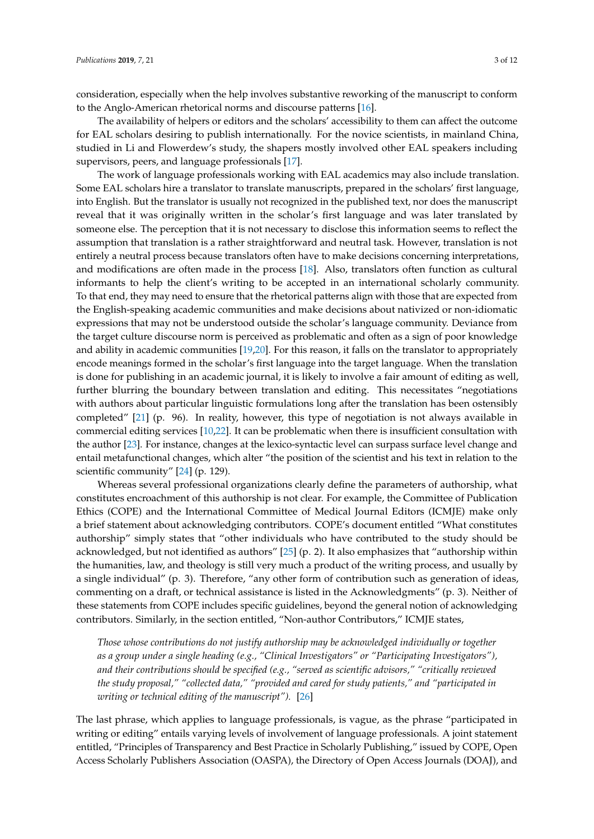consideration, especially when the help involves substantive reworking of the manuscript to conform to the Anglo-American rhetorical norms and discourse patterns [\[16\]](#page-10-14).

The availability of helpers or editors and the scholars' accessibility to them can affect the outcome for EAL scholars desiring to publish internationally. For the novice scientists, in mainland China, studied in Li and Flowerdew's study, the shapers mostly involved other EAL speakers including supervisors, peers, and language professionals [\[17\]](#page-11-0).

The work of language professionals working with EAL academics may also include translation. Some EAL scholars hire a translator to translate manuscripts, prepared in the scholars' first language, into English. But the translator is usually not recognized in the published text, nor does the manuscript reveal that it was originally written in the scholar's first language and was later translated by someone else. The perception that it is not necessary to disclose this information seems to reflect the assumption that translation is a rather straightforward and neutral task. However, translation is not entirely a neutral process because translators often have to make decisions concerning interpretations, and modifications are often made in the process [\[18\]](#page-11-1). Also, translators often function as cultural informants to help the client's writing to be accepted in an international scholarly community. To that end, they may need to ensure that the rhetorical patterns align with those that are expected from the English-speaking academic communities and make decisions about nativized or non-idiomatic expressions that may not be understood outside the scholar's language community. Deviance from the target culture discourse norm is perceived as problematic and often as a sign of poor knowledge and ability in academic communities [\[19](#page-11-2)[,20\]](#page-11-3). For this reason, it falls on the translator to appropriately encode meanings formed in the scholar's first language into the target language. When the translation is done for publishing in an academic journal, it is likely to involve a fair amount of editing as well, further blurring the boundary between translation and editing. This necessitates "negotiations with authors about particular linguistic formulations long after the translation has been ostensibly completed" [\[21\]](#page-11-4) (p. 96). In reality, however, this type of negotiation is not always available in commercial editing services [\[10](#page-10-8)[,22\]](#page-11-5). It can be problematic when there is insufficient consultation with the author [\[23\]](#page-11-6). For instance, changes at the lexico-syntactic level can surpass surface level change and entail metafunctional changes, which alter "the position of the scientist and his text in relation to the scientific community" [\[24\]](#page-11-7) (p. 129).

Whereas several professional organizations clearly define the parameters of authorship, what constitutes encroachment of this authorship is not clear. For example, the Committee of Publication Ethics (COPE) and the International Committee of Medical Journal Editors (ICMJE) make only a brief statement about acknowledging contributors. COPE's document entitled "What constitutes authorship" simply states that "other individuals who have contributed to the study should be acknowledged, but not identified as authors" [\[25\]](#page-11-8) (p. 2). It also emphasizes that "authorship within the humanities, law, and theology is still very much a product of the writing process, and usually by a single individual" (p. 3). Therefore, "any other form of contribution such as generation of ideas, commenting on a draft, or technical assistance is listed in the Acknowledgments" (p. 3). Neither of these statements from COPE includes specific guidelines, beyond the general notion of acknowledging contributors. Similarly, in the section entitled, "Non-author Contributors," ICMJE states,

*Those whose contributions do not justify authorship may be acknowledged individually or together as a group under a single heading (e.g., "Clinical Investigators" or "Participating Investigators"), and their contributions should be specified (e.g., "served as scientific advisors," "critically reviewed the study proposal," "collected data," "provided and cared for study patients," and "participated in writing or technical editing of the manuscript").* [\[26\]](#page-11-9)

The last phrase, which applies to language professionals, is vague, as the phrase "participated in writing or editing" entails varying levels of involvement of language professionals. A joint statement entitled, "Principles of Transparency and Best Practice in Scholarly Publishing," issued by COPE, Open Access Scholarly Publishers Association (OASPA), the Directory of Open Access Journals (DOAJ), and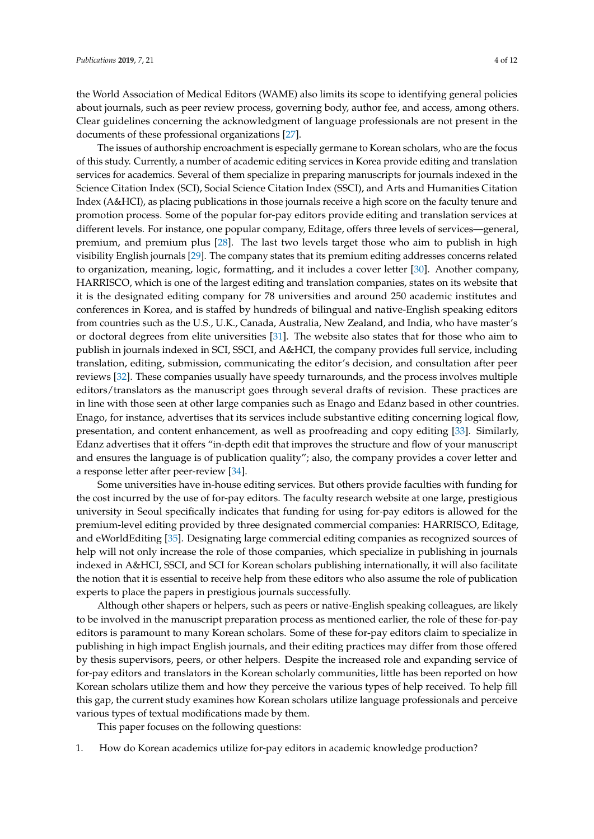the World Association of Medical Editors (WAME) also limits its scope to identifying general policies about journals, such as peer review process, governing body, author fee, and access, among others. Clear guidelines concerning the acknowledgment of language professionals are not present in the documents of these professional organizations [\[27\]](#page-11-10).

The issues of authorship encroachment is especially germane to Korean scholars, who are the focus of this study. Currently, a number of academic editing services in Korea provide editing and translation services for academics. Several of them specialize in preparing manuscripts for journals indexed in the Science Citation Index (SCI), Social Science Citation Index (SSCI), and Arts and Humanities Citation Index (A&HCI), as placing publications in those journals receive a high score on the faculty tenure and promotion process. Some of the popular for-pay editors provide editing and translation services at different levels. For instance, one popular company, Editage, offers three levels of services—general, premium, and premium plus [\[28\]](#page-11-11). The last two levels target those who aim to publish in high visibility English journals [\[29\]](#page-11-12). The company states that its premium editing addresses concerns related to organization, meaning, logic, formatting, and it includes a cover letter [\[30\]](#page-11-13). Another company, HARRISCO, which is one of the largest editing and translation companies, states on its website that it is the designated editing company for 78 universities and around 250 academic institutes and conferences in Korea, and is staffed by hundreds of bilingual and native-English speaking editors from countries such as the U.S., U.K., Canada, Australia, New Zealand, and India, who have master's or doctoral degrees from elite universities [\[31\]](#page-11-14). The website also states that for those who aim to publish in journals indexed in SCI, SSCI, and A&HCI, the company provides full service, including translation, editing, submission, communicating the editor's decision, and consultation after peer reviews [\[32\]](#page-11-15). These companies usually have speedy turnarounds, and the process involves multiple editors/translators as the manuscript goes through several drafts of revision. These practices are in line with those seen at other large companies such as Enago and Edanz based in other countries. Enago, for instance, advertises that its services include substantive editing concerning logical flow, presentation, and content enhancement, as well as proofreading and copy editing [\[33\]](#page-11-16). Similarly, Edanz advertises that it offers "in-depth edit that improves the structure and flow of your manuscript and ensures the language is of publication quality"; also, the company provides a cover letter and a response letter after peer-review [\[34\]](#page-11-17).

Some universities have in-house editing services. But others provide faculties with funding for the cost incurred by the use of for-pay editors. The faculty research website at one large, prestigious university in Seoul specifically indicates that funding for using for-pay editors is allowed for the premium-level editing provided by three designated commercial companies: HARRISCO, Editage, and eWorldEditing [\[35\]](#page-11-18). Designating large commercial editing companies as recognized sources of help will not only increase the role of those companies, which specialize in publishing in journals indexed in A&HCI, SSCI, and SCI for Korean scholars publishing internationally, it will also facilitate the notion that it is essential to receive help from these editors who also assume the role of publication experts to place the papers in prestigious journals successfully.

Although other shapers or helpers, such as peers or native-English speaking colleagues, are likely to be involved in the manuscript preparation process as mentioned earlier, the role of these for-pay editors is paramount to many Korean scholars. Some of these for-pay editors claim to specialize in publishing in high impact English journals, and their editing practices may differ from those offered by thesis supervisors, peers, or other helpers. Despite the increased role and expanding service of for-pay editors and translators in the Korean scholarly communities, little has been reported on how Korean scholars utilize them and how they perceive the various types of help received. To help fill this gap, the current study examines how Korean scholars utilize language professionals and perceive various types of textual modifications made by them.

This paper focuses on the following questions:

1. How do Korean academics utilize for-pay editors in academic knowledge production?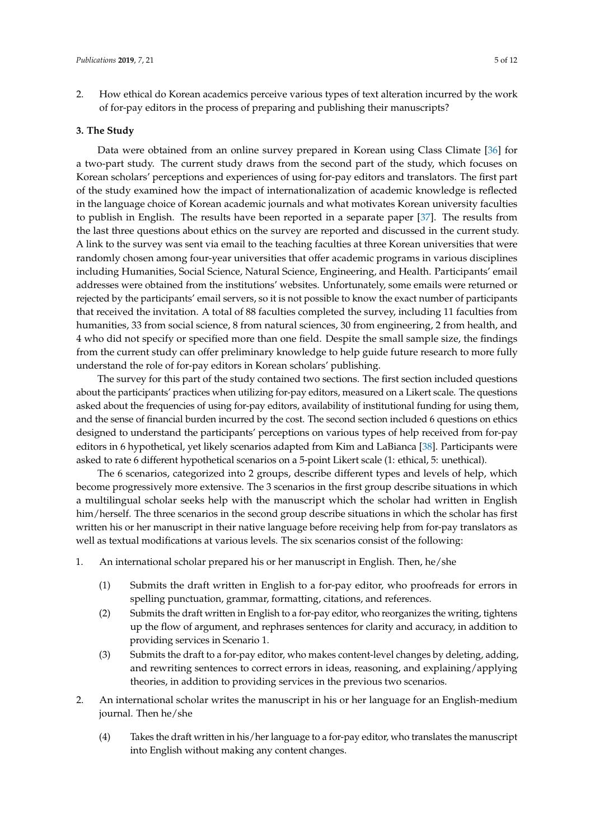- 
- 2. How ethical do Korean academics perceive various types of text alteration incurred by the work of for-pay editors in the process of preparing and publishing their manuscripts?

#### **3. The Study**

Data were obtained from an online survey prepared in Korean using Class Climate [\[36\]](#page-11-19) for a two-part study. The current study draws from the second part of the study, which focuses on Korean scholars' perceptions and experiences of using for-pay editors and translators. The first part of the study examined how the impact of internationalization of academic knowledge is reflected in the language choice of Korean academic journals and what motivates Korean university faculties to publish in English. The results have been reported in a separate paper [\[37\]](#page-11-20). The results from the last three questions about ethics on the survey are reported and discussed in the current study. A link to the survey was sent via email to the teaching faculties at three Korean universities that were randomly chosen among four-year universities that offer academic programs in various disciplines including Humanities, Social Science, Natural Science, Engineering, and Health. Participants' email addresses were obtained from the institutions' websites. Unfortunately, some emails were returned or rejected by the participants' email servers, so it is not possible to know the exact number of participants that received the invitation. A total of 88 faculties completed the survey, including 11 faculties from humanities, 33 from social science, 8 from natural sciences, 30 from engineering, 2 from health, and 4 who did not specify or specified more than one field. Despite the small sample size, the findings from the current study can offer preliminary knowledge to help guide future research to more fully understand the role of for-pay editors in Korean scholars' publishing.

The survey for this part of the study contained two sections. The first section included questions about the participants' practices when utilizing for-pay editors, measured on a Likert scale. The questions asked about the frequencies of using for-pay editors, availability of institutional funding for using them, and the sense of financial burden incurred by the cost. The second section included 6 questions on ethics designed to understand the participants' perceptions on various types of help received from for-pay editors in 6 hypothetical, yet likely scenarios adapted from Kim and LaBianca [\[38\]](#page-11-21). Participants were asked to rate 6 different hypothetical scenarios on a 5-point Likert scale (1: ethical, 5: unethical).

The 6 scenarios, categorized into 2 groups, describe different types and levels of help, which become progressively more extensive. The 3 scenarios in the first group describe situations in which a multilingual scholar seeks help with the manuscript which the scholar had written in English him/herself. The three scenarios in the second group describe situations in which the scholar has first written his or her manuscript in their native language before receiving help from for-pay translators as well as textual modifications at various levels. The six scenarios consist of the following:

- 1. An international scholar prepared his or her manuscript in English. Then, he/she
	- (1) Submits the draft written in English to a for-pay editor, who proofreads for errors in spelling punctuation, grammar, formatting, citations, and references.
	- (2) Submits the draft written in English to a for-pay editor, who reorganizes the writing, tightens up the flow of argument, and rephrases sentences for clarity and accuracy, in addition to providing services in Scenario 1.
	- (3) Submits the draft to a for-pay editor, who makes content-level changes by deleting, adding, and rewriting sentences to correct errors in ideas, reasoning, and explaining/applying theories, in addition to providing services in the previous two scenarios.
- 2. An international scholar writes the manuscript in his or her language for an English-medium journal. Then he/she
	- (4) Takes the draft written in his/her language to a for-pay editor, who translates the manuscript into English without making any content changes.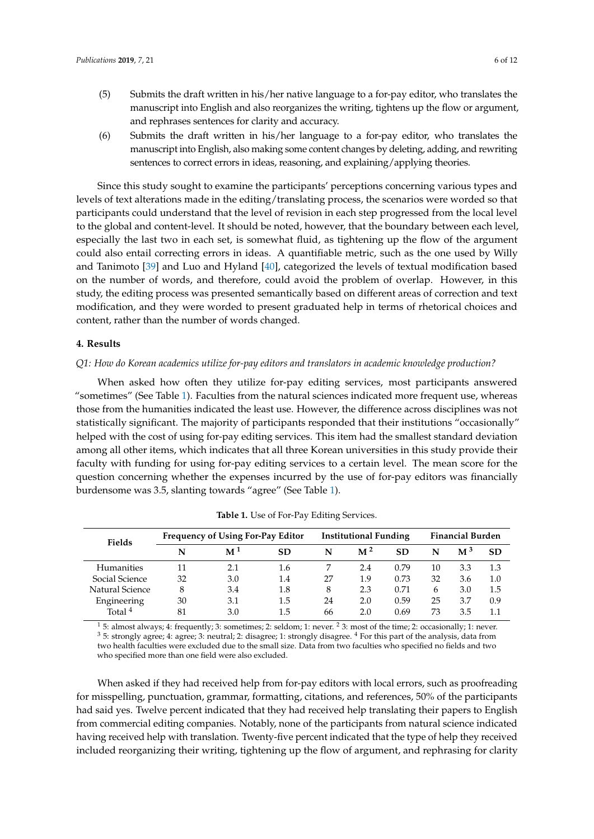- (5) Submits the draft written in his/her native language to a for-pay editor, who translates the manuscript into English and also reorganizes the writing, tightens up the flow or argument, and rephrases sentences for clarity and accuracy.
- (6) Submits the draft written in his/her language to a for-pay editor, who translates the manuscript into English, also making some content changes by deleting, adding, and rewriting sentences to correct errors in ideas, reasoning, and explaining/applying theories.

Since this study sought to examine the participants' perceptions concerning various types and levels of text alterations made in the editing/translating process, the scenarios were worded so that participants could understand that the level of revision in each step progressed from the local level to the global and content-level. It should be noted, however, that the boundary between each level, especially the last two in each set, is somewhat fluid, as tightening up the flow of the argument could also entail correcting errors in ideas. A quantifiable metric, such as the one used by Willy and Tanimoto [\[39\]](#page-11-22) and Luo and Hyland [\[40\]](#page-11-23), categorized the levels of textual modification based on the number of words, and therefore, could avoid the problem of overlap. However, in this study, the editing process was presented semantically based on different areas of correction and text modification, and they were worded to present graduated help in terms of rhetorical choices and content, rather than the number of words changed.

#### **4. Results**

#### *Q1: How do Korean academics utilize for-pay editors and translators in academic knowledge production?*

When asked how often they utilize for-pay editing services, most participants answered "sometimes" (See Table [1\)](#page-6-0). Faculties from the natural sciences indicated more frequent use, whereas those from the humanities indicated the least use. However, the difference across disciplines was not statistically significant. The majority of participants responded that their institutions "occasionally" helped with the cost of using for-pay editing services. This item had the smallest standard deviation among all other items, which indicates that all three Korean universities in this study provide their faculty with funding for using for-pay editing services to a certain level. The mean score for the question concerning whether the expenses incurred by the use of for-pay editors was financially burdensome was 3.5, slanting towards "agree" (See Table [1\)](#page-6-0).

<span id="page-6-0"></span>

| Fields             | <b>Frequency of Using For-Pay Editor</b> |                |     | <b>Institutional Funding</b> |                |           | <b>Financial Burden</b> |                |           |
|--------------------|------------------------------------------|----------------|-----|------------------------------|----------------|-----------|-------------------------|----------------|-----------|
|                    | N                                        | $\mathbf{M}^1$ | SD  | N                            | $\mathbf{M}^2$ | <b>SD</b> | N                       | $\mathbf{M}^3$ | <b>SD</b> |
| <b>Humanities</b>  |                                          | 2.1            | 1.6 |                              | 2.4            | 0.79      | 10                      | 3.3            | 1.3       |
| Social Science     | 32                                       | 3.0            | 1.4 | 27                           | 1.9            | 0.73      | 32                      | 3.6            | 1.0       |
| Natural Science    | 8                                        | 3.4            | 1.8 | 8                            | 2.3            | 0.71      | 6                       | 3.0            | 1.5       |
| Engineering        | 30                                       | 3.1            | 1.5 | 24                           | 2.0            | 0.59      | 25                      | 3.7            | 0.9       |
| Total <sup>4</sup> | 81                                       | 3.0            | 1.5 | 66                           | 2.0            | 0.69      | 73                      | 3.5            |           |

|  |  |  |  | Table 1. Use of For-Pay Editing Services. |
|--|--|--|--|-------------------------------------------|
|--|--|--|--|-------------------------------------------|

<sup>1</sup> 5: almost always; 4: frequently; 3: sometimes; 2: seldom; 1: never. <sup>2</sup> 3: most of the time; 2: occasionally; 1: never. <sup>3</sup> 5: strongly agree; 4: agree; 3: neutral; 2: disagree; 1: strongly disagree. <sup>4</sup> For this part of the analysis, data from two health faculties were excluded due to the small size. Data from two faculties who specified no fields and two who specified more than one field were also excluded.

When asked if they had received help from for-pay editors with local errors, such as proofreading for misspelling, punctuation, grammar, formatting, citations, and references, 50% of the participants had said yes. Twelve percent indicated that they had received help translating their papers to English from commercial editing companies. Notably, none of the participants from natural science indicated having received help with translation. Twenty-five percent indicated that the type of help they received included reorganizing their writing, tightening up the flow of argument, and rephrasing for clarity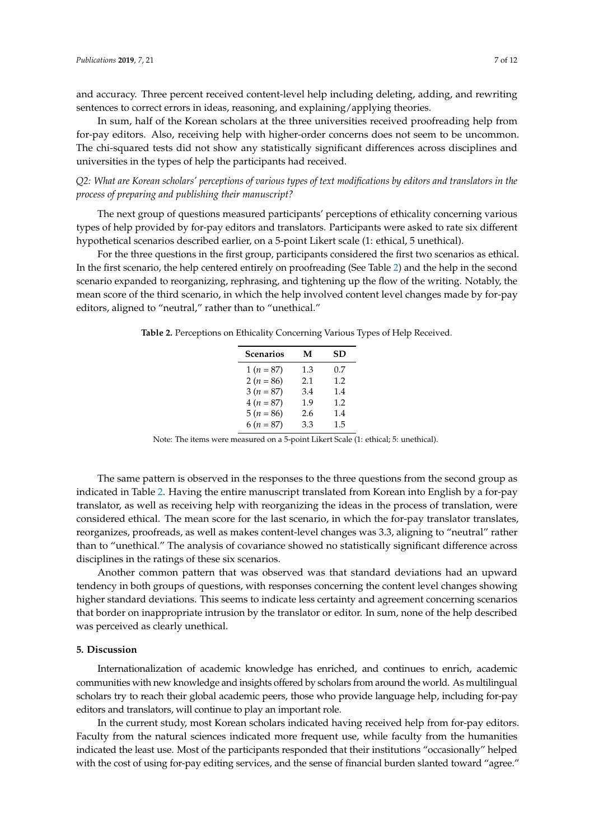and accuracy. Three percent received content-level help including deleting, adding, and rewriting sentences to correct errors in ideas, reasoning, and explaining/applying theories.

In sum, half of the Korean scholars at the three universities received proofreading help from for-pay editors. Also, receiving help with higher-order concerns does not seem to be uncommon. The chi-squared tests did not show any statistically significant differences across disciplines and universities in the types of help the participants had received.

*Q2: What are Korean scholars' perceptions of various types of text modifications by editors and translators in the process of preparing and publishing their manuscript?*

The next group of questions measured participants' perceptions of ethicality concerning various types of help provided by for-pay editors and translators. Participants were asked to rate six different hypothetical scenarios described earlier, on a 5-point Likert scale (1: ethical, 5 unethical).

For the three questions in the first group, participants considered the first two scenarios as ethical. In the first scenario, the help centered entirely on proofreading (See Table [2\)](#page-7-0) and the help in the second scenario expanded to reorganizing, rephrasing, and tightening up the flow of the writing. Notably, the mean score of the third scenario, in which the help involved content level changes made by for-pay editors, aligned to "neutral," rather than to "unethical."

<span id="page-7-0"></span>**Table 2.** Perceptions on Ethicality Concerning Various Types of Help Received.

| <b>Scenarios</b> | М   | SD  |
|------------------|-----|-----|
| $1(n=87)$        | 1.3 | 0.7 |
| $2(n=86)$        | 2.1 | 1.2 |
| $3(n = 87)$      | 3.4 | 1.4 |
| $4(n = 87)$      | 1.9 | 1.2 |
| $5(n=86)$        | 2.6 | 1.4 |
| $6(n = 87)$      | 3.3 | 1.5 |

Note: The items were measured on a 5-point Likert Scale (1: ethical; 5: unethical).

The same pattern is observed in the responses to the three questions from the second group as indicated in Table [2.](#page-7-0) Having the entire manuscript translated from Korean into English by a for-pay translator, as well as receiving help with reorganizing the ideas in the process of translation, were considered ethical. The mean score for the last scenario, in which the for-pay translator translates, reorganizes, proofreads, as well as makes content-level changes was 3.3, aligning to "neutral" rather than to "unethical." The analysis of covariance showed no statistically significant difference across disciplines in the ratings of these six scenarios.

Another common pattern that was observed was that standard deviations had an upward tendency in both groups of questions, with responses concerning the content level changes showing higher standard deviations. This seems to indicate less certainty and agreement concerning scenarios that border on inappropriate intrusion by the translator or editor. In sum, none of the help described was perceived as clearly unethical.

## **5. Discussion**

Internationalization of academic knowledge has enriched, and continues to enrich, academic communities with new knowledge and insights offered by scholars from around the world. As multilingual scholars try to reach their global academic peers, those who provide language help, including for-pay editors and translators, will continue to play an important role.

In the current study, most Korean scholars indicated having received help from for-pay editors. Faculty from the natural sciences indicated more frequent use, while faculty from the humanities indicated the least use. Most of the participants responded that their institutions "occasionally" helped with the cost of using for-pay editing services, and the sense of financial burden slanted toward "agree."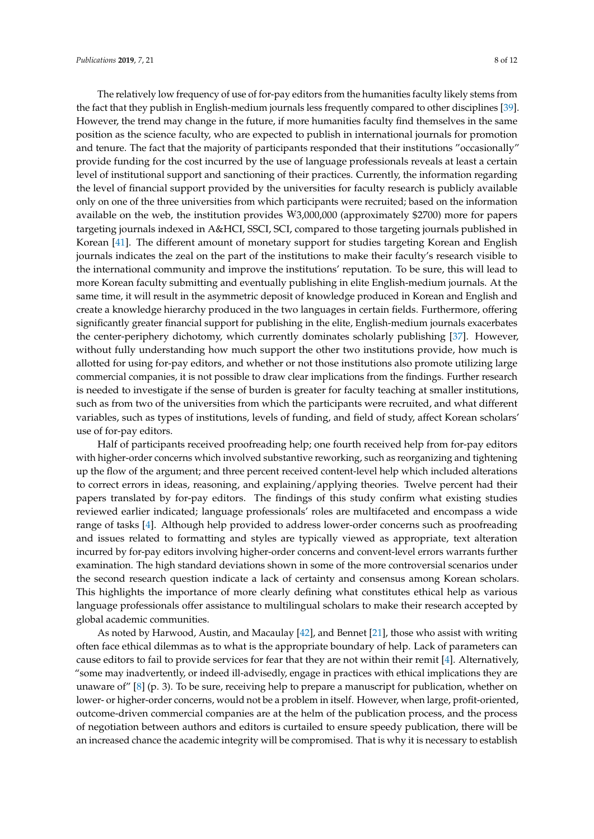The relatively low frequency of use of for-pay editors from the humanities faculty likely stems from the fact that they publish in English-medium journals less frequently compared to other disciplines [\[39\]](#page-11-22). the fact that they publish in English-medium journals less frequently compared to other disciplines [39].However, the trend may change in the future, if more humanities faculty find themselves in the same position as the science faculty, who are expected to publish in international journals for promotion position as the science faculty, who are expected to publish in international journals for promotionand tenure. The fact that the majority of participants responded that their institutions "occasionally" provide funding for the cost incurred by the use of language professionals reveals at least a certain provide funding for the cost incurred by the use of language professionals reveals at least a certain level of institutional support and sanctioning of their practices. Currently, the information regarding the level of financial support provided by the universities for faculty research is publicly available the level of financial support provided by the universities for faculty research is publicly available only on one of the three universities from which participants were recruited; based on the information available on the web, the institution provides available on the web, the institution provides ₩3,000,000 (approximately \$2700) more for papers 3,000,000 (approximately \$2700) more for papers targeting journals indexed in A&HCI, SSCI, SCI, compared to those targeting journals published in Korean [\[41\]](#page-11-24). The different amount of monetary support for studies targeting Korean and English Korean [41]. The different amount of monetary support for studies targeting Korean and English journals indicates the zeal on the part of the institutions to make their faculty's research visible to the international community and improve the institutions' reputation. To be sure, this will lead to more Korean faculty submitting and eventually publishing in elite English-medium journals. At the same time, it will result in the asymmetric deposit of knowledge produced in Korean and English and create a knowledge hierarchy produced in the two languages in certain fields. Furthermore, offering significantly greater financial support for publishing in the elite, English-medium journals exacerbates significantly greater financial support for publishing in the elite, English-medium journals exacerbates the center-periphery dichotomy, which currently dominates scholarly publishing [\[37\]](#page-11-20). However, without fully understanding how much support the other two institutions provide, how much is without fully understanding how much support the other two institutions provide, how much is allotted for using for-pay editors, and whether or not those institutions also promote utilizing large commercial companies, it is not possible to draw clear implications from the findings. Further research commercial companies, it is not possible to draw clear implications from the findings. Further research is needed to investigate if the sense of burden is greater for faculty teaching at smaller institutions, is needed to investigate if the sense of burden is greater for faculty teaching at smaller institutions,<br>such as from two of the universities from which the participants were recruited, and what different variables, such as types of institutions, levels of funding, and field of study, affect Korean scholars' use of for-pay editors.

Half of participants received proofreading help; one fourth received help from for-pay editors Half of participants received proofreading help; one fourth received help from for-pay editors<br>with higher-order concerns which involved substantive reworking, such as reorganizing and tightening up the flow of the argument; and three percent received content-level help which included alterations up the flow of the argument; and three percent received content-level help which included alterations<br>to correct errors in ideas, reasoning, and explaining/applying theories. Twelve percent had their papers translated by for-pay editors. The findings of this study confirm what existing studies<br>reviewed earlier indicated; language professionals' roles are multifaceted and encompass a wide reviewed earlier indicated; language professionals' roles are multifaceted and encompass a wide range of tasks [\[4\]](#page-10-2). Although help provided to address lower-order concerns such as proofreading<br>and issues related to formatting and styles are typically viewed as appropriate, text alteration and issues related to formatting and styles are typically viewed as appropriate, text alteration incurred by for-pay editors involving higher-order concerns and convent-level errors warrants further incurred by for-pay editors involving higher-order concerns and convent-level errors warrants further<br>examination. The high standard deviations shown in some of the more controversial scenarios under the second research question indicate a lack of certainty and consensus among Korean scholars. This highlights the importance of more clearly defining what constitutes ethical help as various language professionals offer assistance to multilingual scholars to make their research accepted by<br>global academic communities. global academic communities.

As noted by Harwood, Austin, and Macaulay [\[42\]](#page-12-0), and Bennet [\[21\]](#page-11-4), those who assist with writing As noted by Harwood, Austin, and Macaulay [42], and Bennet [21], those who assist with writing<br>often face ethical dilemmas as to what is the appropriate boundary of help. Lack of parameters can cause editors to fail to provide services for fear that they are not within their remit [\[4\]](#page-10-2). Alternatively, "some may inadvertently, or indeed ill-advisedly, engage in practices with ethical implications they are unaware of" [\[8\]](#page-10-6) (p. 3). To be sure, receiving help to prepare a manuscript for publication, whether on lower- or higher-order concerns, would not be a problem in itself. However, when large, profit-oriented, outcome-driven commercial companies are at the helm of the publication process, and the process of negotiation between authors and editors is curtailed to ensure speedy publication, there will be an increased chance the academic integrity will be compromised. That is why it is necessary to establish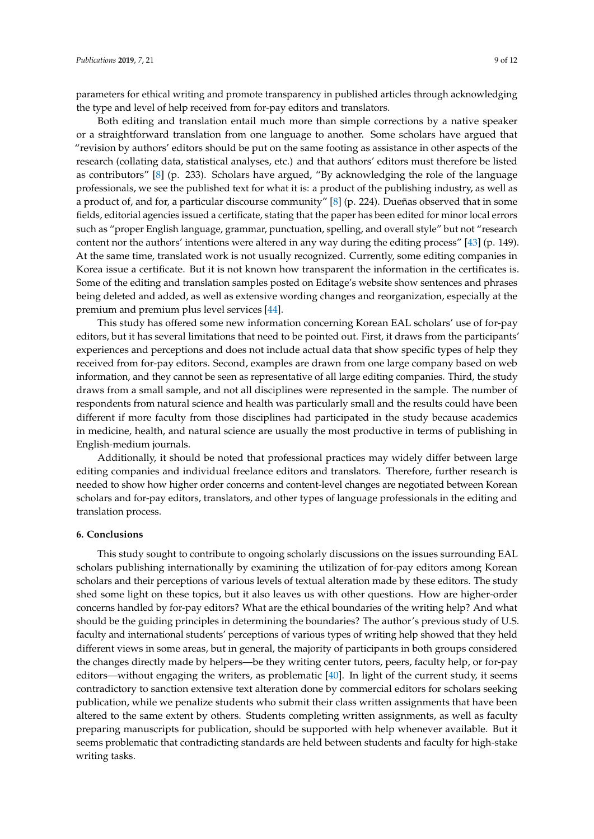parameters for ethical writing and promote transparency in published articles through acknowledging the type and level of help received from for-pay editors and translators.

Both editing and translation entail much more than simple corrections by a native speaker or a straightforward translation from one language to another. Some scholars have argued that "revision by authors' editors should be put on the same footing as assistance in other aspects of the research (collating data, statistical analyses, etc.) and that authors' editors must therefore be listed as contributors" [\[8\]](#page-10-6) (p. 233). Scholars have argued, "By acknowledging the role of the language professionals, we see the published text for what it is: a product of the publishing industry, as well as a product of, and for, a particular discourse community" [\[8\]](#page-10-6) (p. 224). Dueñas observed that in some fields, editorial agencies issued a certificate, stating that the paper has been edited for minor local errors such as "proper English language, grammar, punctuation, spelling, and overall style" but not "research content nor the authors' intentions were altered in any way during the editing process" [\[43\]](#page-12-1) (p. 149). At the same time, translated work is not usually recognized. Currently, some editing companies in Korea issue a certificate. But it is not known how transparent the information in the certificates is. Some of the editing and translation samples posted on Editage's website show sentences and phrases being deleted and added, as well as extensive wording changes and reorganization, especially at the premium and premium plus level services [\[44\]](#page-12-2).

This study has offered some new information concerning Korean EAL scholars' use of for-pay editors, but it has several limitations that need to be pointed out. First, it draws from the participants' experiences and perceptions and does not include actual data that show specific types of help they received from for-pay editors. Second, examples are drawn from one large company based on web information, and they cannot be seen as representative of all large editing companies. Third, the study draws from a small sample, and not all disciplines were represented in the sample. The number of respondents from natural science and health was particularly small and the results could have been different if more faculty from those disciplines had participated in the study because academics in medicine, health, and natural science are usually the most productive in terms of publishing in English-medium journals.

Additionally, it should be noted that professional practices may widely differ between large editing companies and individual freelance editors and translators. Therefore, further research is needed to show how higher order concerns and content-level changes are negotiated between Korean scholars and for-pay editors, translators, and other types of language professionals in the editing and translation process.

#### **6. Conclusions**

This study sought to contribute to ongoing scholarly discussions on the issues surrounding EAL scholars publishing internationally by examining the utilization of for-pay editors among Korean scholars and their perceptions of various levels of textual alteration made by these editors. The study shed some light on these topics, but it also leaves us with other questions. How are higher-order concerns handled by for-pay editors? What are the ethical boundaries of the writing help? And what should be the guiding principles in determining the boundaries? The author's previous study of U.S. faculty and international students' perceptions of various types of writing help showed that they held different views in some areas, but in general, the majority of participants in both groups considered the changes directly made by helpers—be they writing center tutors, peers, faculty help, or for-pay editors—without engaging the writers, as problematic [\[40\]](#page-11-23). In light of the current study, it seems contradictory to sanction extensive text alteration done by commercial editors for scholars seeking publication, while we penalize students who submit their class written assignments that have been altered to the same extent by others. Students completing written assignments, as well as faculty preparing manuscripts for publication, should be supported with help whenever available. But it seems problematic that contradicting standards are held between students and faculty for high-stake writing tasks.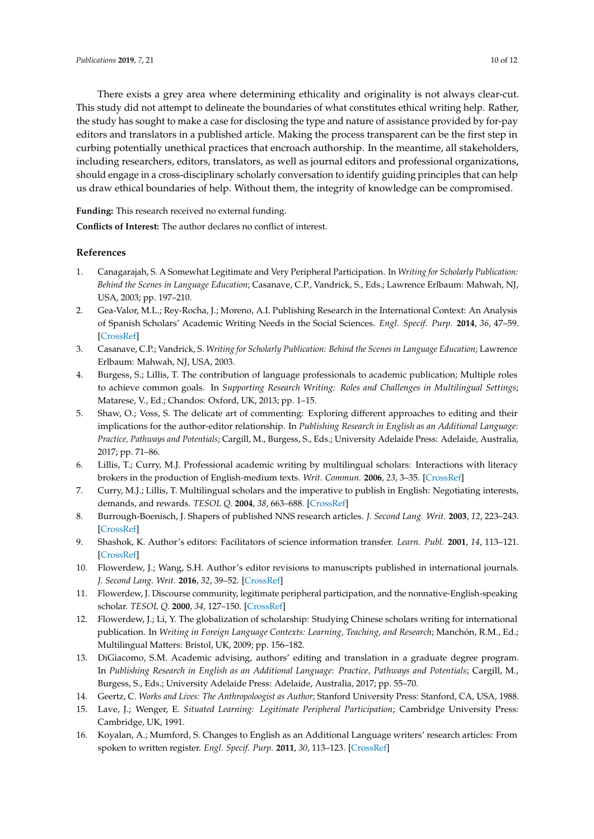There exists a grey area where determining ethicality and originality is not always clear-cut. This study did not attempt to delineate the boundaries of what constitutes ethical writing help. Rather, the study has sought to make a case for disclosing the type and nature of assistance provided by for-pay editors and translators in a published article. Making the process transparent can be the first step in curbing potentially unethical practices that encroach authorship. In the meantime, all stakeholders, including researchers, editors, translators, as well as journal editors and professional organizations, should engage in a cross-disciplinary scholarly conversation to identify guiding principles that can help us draw ethical boundaries of help. Without them, the integrity of knowledge can be compromised.

**Funding:** This research received no external funding.

**Conflicts of Interest:** The author declares no conflict of interest.

## **References**

- <span id="page-10-0"></span>1. Canagarajah, S. A Somewhat Legitimate and Very Peripheral Participation. In *Writing for Scholarly Publication: Behind the Scenes in Language Education*; Casanave, C.P., Vandrick, S., Eds.; Lawrence Erlbaum: Mahwah, NJ, USA, 2003; pp. 197–210.
- 2. Gea-Valor, M.L.; Rey-Rocha, J.; Moreno, A.I. Publishing Research in the International Context: An Analysis of Spanish Scholars' Academic Writing Needs in the Social Sciences. *Engl. Specif. Purp.* **2014**, *36*, 47–59. [\[CrossRef\]](http://dx.doi.org/10.1016/j.esp.2014.05.001)
- <span id="page-10-1"></span>3. Casanave, C.P.; Vandrick, S. *Writing for Scholarly Publication: Behind the Scenes in Language Education*; Lawrence Erlbaum: Mahwah, NJ, USA, 2003.
- <span id="page-10-2"></span>4. Burgess, S.; Lillis, T. The contribution of language professionals to academic publication; Multiple roles to achieve common goals. In *Supporting Research Writing: Roles and Challenges in Multilingual Settings*; Matarese, V., Ed.; Chandos: Oxford, UK, 2013; pp. 1–15.
- <span id="page-10-3"></span>5. Shaw, O.; Voss, S. The delicate art of commenting: Exploring different approaches to editing and their implications for the author-editor relationship. In *Publishing Research in English as an Additional Language: Practice, Pathways and Potentials*; Cargill, M., Burgess, S., Eds.; University Adelaide Press: Adelaide, Australia, 2017; pp. 71–86.
- <span id="page-10-4"></span>6. Lillis, T.; Curry, M.J. Professional academic writing by multilingual scholars: Interactions with literacy brokers in the production of English-medium texts. *Writ. Commun.* **2006**, *23*, 3–35. [\[CrossRef\]](http://dx.doi.org/10.1177/0741088305283754)
- <span id="page-10-5"></span>7. Curry, M.J.; Lillis, T. Multilingual scholars and the imperative to publish in English: Negotiating interests, demands, and rewards. *TESOL Q.* **2004**, *38*, 663–688. [\[CrossRef\]](http://dx.doi.org/10.2307/3588284)
- <span id="page-10-6"></span>8. Burrough-Boenisch, J. Shapers of published NNS research articles. *J. Second Lang. Writ.* **2003**, *12*, 223–243. [\[CrossRef\]](http://dx.doi.org/10.1016/S1060-3743(03)00037-7)
- <span id="page-10-7"></span>9. Shashok, K. Author's editors: Facilitators of science information transfer. *Learn. Publ.* **2001**, *14*, 113–121. [\[CrossRef\]](http://dx.doi.org/10.1087/095315101300059495)
- <span id="page-10-8"></span>10. Flowerdew, J.; Wang, S.H. Author's editor revisions to manuscripts published in international journals. *J. Second Lang. Writ.* **2016**, *32*, 39–52. [\[CrossRef\]](http://dx.doi.org/10.1016/j.jslw.2016.03.004)
- <span id="page-10-9"></span>11. Flowerdew, J. Discourse community, legitimate peripheral participation, and the nonnative-English-speaking scholar. *TESOL Q.* **2000**, *34*, 127–150. [\[CrossRef\]](http://dx.doi.org/10.2307/3588099)
- <span id="page-10-10"></span>12. Flowerdew, J.; Li, Y. The globalization of scholarship: Studying Chinese scholars writing for international publication. In *Writing in Foreign Language Contexts: Learning, Teaching, and Research*; Manchón, R.M., Ed.; Multilingual Matters: Bristol, UK, 2009; pp. 156–182.
- <span id="page-10-11"></span>13. DiGiacomo, S.M. Academic advising, authors' editing and translation in a graduate degree program. In *Publishing Research in English as an Additional Language: Practice, Pathways and Potentials*; Cargill, M., Burgess, S., Eds.; University Adelaide Press: Adelaide, Australia, 2017; pp. 55–70.
- <span id="page-10-12"></span>14. Geertz, C. *Works and Lives: The Anthropoloogist as Author*; Stanford University Press: Stanford, CA, USA, 1988.
- <span id="page-10-13"></span>15. Lave, J.; Wenger, E. *Situated Learning: Legitimate Peripheral Participation*; Cambridge University Press: Cambridge, UK, 1991.
- <span id="page-10-14"></span>16. Koyalan, A.; Mumford, S. Changes to English as an Additional Language writers' research articles: From spoken to written register. *Engl. Specif. Purp.* **2011**, *30*, 113–123. [\[CrossRef\]](http://dx.doi.org/10.1016/j.esp.2010.10.001)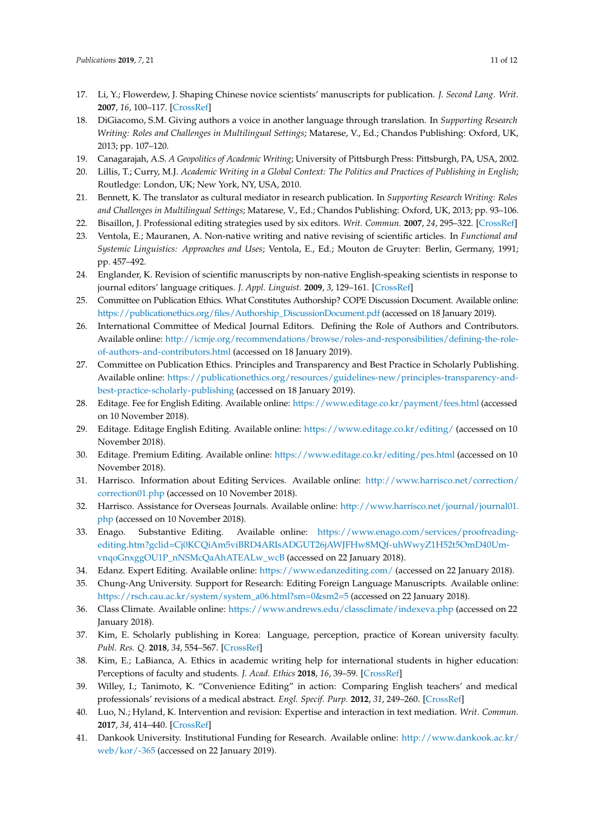- <span id="page-11-0"></span>17. Li, Y.; Flowerdew, J. Shaping Chinese novice scientists' manuscripts for publication. *J. Second Lang. Writ.* **2007**, *16*, 100–117. [\[CrossRef\]](http://dx.doi.org/10.1016/j.jslw.2007.05.001)
- <span id="page-11-1"></span>18. DiGiacomo, S.M. Giving authors a voice in another language through translation. In *Supporting Research Writing: Roles and Challenges in Multilingual Settings*; Matarese, V., Ed.; Chandos Publishing: Oxford, UK, 2013; pp. 107–120.
- <span id="page-11-2"></span>19. Canagarajah, A.S. *A Geopolitics of Academic Writing*; University of Pittsburgh Press: Pittsburgh, PA, USA, 2002.
- <span id="page-11-3"></span>20. Lillis, T.; Curry, M.J. *Academic Writing in a Global Context: The Politics and Practices of Publishing in English*; Routledge: London, UK; New York, NY, USA, 2010.
- <span id="page-11-4"></span>21. Bennett, K. The translator as cultural mediator in research publication. In *Supporting Research Writing: Roles and Challenges in Multilingual Settings*; Matarese, V., Ed.; Chandos Publishing: Oxford, UK, 2013; pp. 93–106.
- <span id="page-11-5"></span>22. Bisaillon, J. Professional editing strategies used by six editors. *Writ. Commun.* **2007**, *24*, 295–322. [\[CrossRef\]](http://dx.doi.org/10.1177/0741088307305977)
- <span id="page-11-6"></span>23. Ventola, E.; Mauranen, A. Non-native writing and native revising of scientific articles. In *Functional and Systemic Linguistics: Approaches and Uses*; Ventola, E., Ed.; Mouton de Gruyter: Berlin, Germany, 1991; pp. 457–492.
- <span id="page-11-7"></span>24. Englander, K. Revision of scientific manuscripts by non-native English-speaking scientists in response to journal editors' language critiques. *J. Appl. Linguist.* **2009**, *3*, 129–161. [\[CrossRef\]](http://dx.doi.org/10.1558/japl.v3i2.129)
- <span id="page-11-8"></span>25. Committee on Publication Ethics. What Constitutes Authorship? COPE Discussion Document. Available online: [https://publicationethics.org/files/Authorship\\_DiscussionDocument.pdf](https://publicationethics.org/files/Authorship_DiscussionDocument.pdf) (accessed on 18 January 2019).
- <span id="page-11-9"></span>26. International Committee of Medical Journal Editors. Defining the Role of Authors and Contributors. Available online: [http://icmje.org/recommendations/browse/roles-and-responsibilities/defining-the-role](http://icmje.org/recommendations/browse/roles-and-responsibilities/defining-the-role-of-authors-and-contributors.html)[of-authors-and-contributors.html](http://icmje.org/recommendations/browse/roles-and-responsibilities/defining-the-role-of-authors-and-contributors.html) (accessed on 18 January 2019).
- <span id="page-11-10"></span>27. Committee on Publication Ethics. Principles and Transparency and Best Practice in Scholarly Publishing. Available online: [https://publicationethics.org/resources/guidelines-new/principles-transparency-and](https://publicationethics.org/resources/guidelines-new/principles-transparency-and-best-practice-scholarly-publishing)[best-practice-scholarly-publishing](https://publicationethics.org/resources/guidelines-new/principles-transparency-and-best-practice-scholarly-publishing) (accessed on 18 January 2019).
- <span id="page-11-11"></span>28. Editage. Fee for English Editing. Available online: <https://www.editage.co.kr/payment/fees.html> (accessed on 10 November 2018).
- <span id="page-11-12"></span>29. Editage. Editage English Editing. Available online: <https://www.editage.co.kr/editing/> (accessed on 10 November 2018).
- <span id="page-11-13"></span>30. Editage. Premium Editing. Available online: <https://www.editage.co.kr/editing/pes.html> (accessed on 10 November 2018).
- <span id="page-11-14"></span>31. Harrisco. Information about Editing Services. Available online: [http://www.harrisco.net/correction/](http://www.harrisco.net/correction/correction01.php) [correction01.php](http://www.harrisco.net/correction/correction01.php) (accessed on 10 November 2018).
- <span id="page-11-15"></span>32. Harrisco. Assistance for Overseas Journals. Available online: [http://www.harrisco.net/journal/journal01.](http://www.harrisco.net/journal/journal01.php) [php](http://www.harrisco.net/journal/journal01.php) (accessed on 10 November 2018).
- <span id="page-11-16"></span>33. Enago. Substantive Editing. Available online: [https://www.enago.com/services/proofreading](https://www.enago.com/services/proofreading-editing.htm?gclid=Cj0KCQiAm5viBRD4ARIsADGUT26jAWJFHw8MQf-uhWwyZ1H52t5OmD40Um-vnqoGnxggOU1P_nNSMcQaAhATEALw_wcB)[editing.htm?gclid=Cj0KCQiAm5viBRD4ARIsADGUT26jAWJFHw8MQf-uhWwyZ1H52t5OmD40Um](https://www.enago.com/services/proofreading-editing.htm?gclid=Cj0KCQiAm5viBRD4ARIsADGUT26jAWJFHw8MQf-uhWwyZ1H52t5OmD40Um-vnqoGnxggOU1P_nNSMcQaAhATEALw_wcB)[vnqoGnxggOU1P\\_nNSMcQaAhATEALw\\_wcB](https://www.enago.com/services/proofreading-editing.htm?gclid=Cj0KCQiAm5viBRD4ARIsADGUT26jAWJFHw8MQf-uhWwyZ1H52t5OmD40Um-vnqoGnxggOU1P_nNSMcQaAhATEALw_wcB) (accessed on 22 January 2018).
- <span id="page-11-17"></span>34. Edanz. Expert Editing. Available online: <https://www.edanzediting.com/> (accessed on 22 January 2018).
- <span id="page-11-18"></span>35. Chung-Ang University. Support for Research: Editing Foreign Language Manuscripts. Available online: [https://rsch.cau.ac.kr/system/system\\_a06.html?sm=0&sm2=5](https://rsch.cau.ac.kr/system/system_a06.html?sm=0&sm2=5) (accessed on 22 January 2018).
- <span id="page-11-19"></span>36. Class Climate. Available online: <https://www.andrews.edu/classclimate/indexeva.php> (accessed on 22 January 2018).
- <span id="page-11-20"></span>37. Kim, E. Scholarly publishing in Korea: Language, perception, practice of Korean university faculty. *Publ. Res. Q.* **2018**, *34*, 554–567. [\[CrossRef\]](http://dx.doi.org/10.1007/s12109-018-9602-3)
- <span id="page-11-21"></span>38. Kim, E.; LaBianca, A. Ethics in academic writing help for international students in higher education: Perceptions of faculty and students. *J. Acad. Ethics* **2018**, *16*, 39–59. [\[CrossRef\]](http://dx.doi.org/10.1007/s10805-017-9299-5)
- <span id="page-11-22"></span>39. Willey, I.; Tanimoto, K. "Convenience Editing" in action: Comparing English teachers' and medical professionals' revisions of a medical abstract. *Engl. Specif. Purp.* **2012**, *31*, 249–260. [\[CrossRef\]](http://dx.doi.org/10.1016/j.esp.2012.04.001)
- <span id="page-11-23"></span>40. Luo, N.; Hyland, K. Intervention and revision: Expertise and interaction in text mediation. *Writ. Commun.* **2017**, *34*, 414–440. [\[CrossRef\]](http://dx.doi.org/10.1177/0741088317722944)
- <span id="page-11-24"></span>41. Dankook University. Institutional Funding for Research. Available online: [http://www.dankook.ac.kr/](http://www.dankook.ac.kr/web/kor/-365) [web/kor/-365](http://www.dankook.ac.kr/web/kor/-365) (accessed on 22 January 2019).